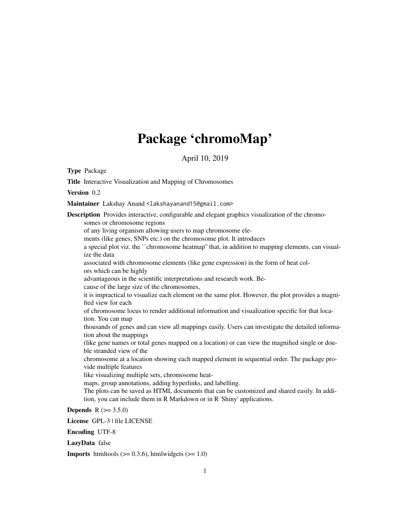## Package 'chromoMap'

April 10, 2019

Type Package

Title Interactive Visualization and Mapping of Chromosomes Version 0.2 Maintainer Lakshay Anand <lakshayanand15@gmail.com> Description Provides interactive, configurable and elegant graphics visualization of the chromosomes or chromosome regions of any living organism allowing users to map chromosome elements (like genes, SNPs etc.) on the chromosome plot. It introduces a special plot viz. the ``chromosome heatmap'' that, in addition to mapping elements, can visualize the data associated with chromosome elements (like gene expression) in the form of heat colors which can be highly advantageous in the scientific interpretations and research work. Because of the large size of the chromosomes, it is impractical to visualize each element on the same plot. However, the plot provides a magnified view for each of chromosome locus to render additional information and visualization specific for that location. You can map thousands of genes and can view all mappings easily. Users can investigate the detailed information about the mappings (like gene names or total genes mapped on a location) or can view the magnified single or double stranded view of the chromosome at a location showing each mapped element in sequential order. The package provide multiple features like visualizing multiple sets, chromosome heatmaps, group annotations, adding hyperlinks, and labelling. The plots can be saved as HTML documents that can be customized and shared easily. In addition, you can include them in R Markdown or in R 'Shiny' applications.

**Depends** R  $(>= 3.5.0)$ 

License GPL-3 | file LICENSE

Encoding UTF-8

LazyData false

**Imports** htmltools  $(>= 0.3.6)$ , htmlwidgets  $(>= 1.0)$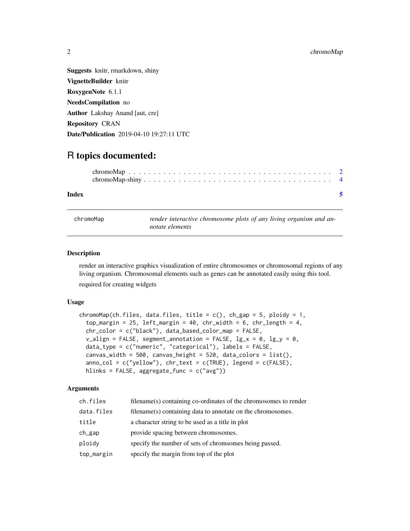<span id="page-1-0"></span>Suggests knitr, rmarkdown, shiny VignetteBuilder knitr RoxygenNote 6.1.1 NeedsCompilation no Author Lakshay Anand [aut, cre] Repository CRAN Date/Publication 2019-04-10 19:27:11 UTC

### R topics documented:

| Index |  |  |  |  |  |  |  |  |  |  |  |  |  |  |  |  |
|-------|--|--|--|--|--|--|--|--|--|--|--|--|--|--|--|--|

chromoMap *render interactive chromosome plots of any living organism and annotate elements*

#### Description

render an interactive graphics visualization of entire chromosomes or chromosomal regions of any living organism. Chromosomal elements such as genes can be annotated easily using this tool. required for creating widgets

#### Usage

```
chromoMap(ch.files, data.files, title = c(), ch_gap = 5, ploidy = 1,
  top_margin = 25, left_margin = 40, chr_width = 6, chr_length = 4,
  chr_color = c("black"), data_based_color_map = FALSE,
  v_align = FALSE, segment_annotation = FALSE, \lg_x = 0, \lg_y = 0,
  data_type = c("numeric", "categorical"), labels = FALSE,
  canvas_width = 500, canvas_height = 520, data_colors = list(),
  anno\_col = c("yellow"), chr\_text = c(TRUE), legend = c(FALE),
 hlinks = FALSE, aggregate_func = c("avg"))
```
#### Arguments

| ch.files   | filename(s) containing co-ordinates of the chromosomes to render |
|------------|------------------------------------------------------------------|
| data.files | filename(s) containing data to annotate on the chromosomes.      |
| title      | a character string to be used as a title in plot                 |
| ch_gap     | provide spacing between chromosomes.                             |
| ploidy     | specify the number of sets of chromsomes being passed.           |
| top_margin | specify the margin from top of the plot                          |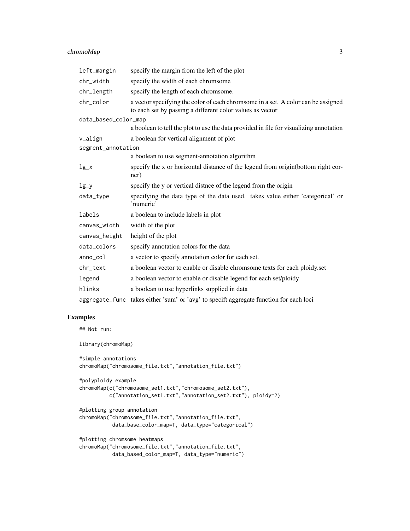#### chromoMap 3

| left_margin          | specify the margin from the left of the plot                                                                                                   |
|----------------------|------------------------------------------------------------------------------------------------------------------------------------------------|
| chr_width            | specify the width of each chromsome                                                                                                            |
| chr_length           | specify the length of each chromsome.                                                                                                          |
| chr_color            | a vector specifying the color of each chromsome in a set. A color can be assigned<br>to each set by passing a different color values as vector |
| data_based_color_map |                                                                                                                                                |
|                      | a boolean to tell the plot to use the data provided in file for visualizing annotation                                                         |
| v_align              | a boolean for vertical alignment of plot                                                                                                       |
| segment_annotation   |                                                                                                                                                |
|                      | a boolean to use segment-annotation algorithm                                                                                                  |
| $lg_x$               | specify the x or horizontal distance of the legend from origin(bottom right cor-<br>ner)                                                       |
| $lg_y$               | specify the y or vertical distnce of the legend from the origin                                                                                |
| data_type            | specifying the data type of the data used. takes value either 'categorical' or<br>'numeric'                                                    |
| labels               | a boolean to include labels in plot                                                                                                            |
| canvas_width         | width of the plot                                                                                                                              |
| canvas_height        | height of the plot                                                                                                                             |
| data_colors          | specify annotation colors for the data                                                                                                         |
| anno_col             | a vector to specify annotation color for each set.                                                                                             |
| chr_text             | a boolean vector to enable or disable chromsome texts for each ploidy.set                                                                      |
| legend               | a boolean vector to enable or disable legend for each set/ploidy                                                                               |
| hlinks               | a boolean to use hyperlinks supplied in data                                                                                                   |
| aggregate_func       | takes either 'sum' or 'avg' to specift aggregate function for each loci                                                                        |

#### Examples

## Not run:

library(chromoMap)

```
#simple annotations
chromoMap("chromosome_file.txt","annotation_file.txt")
```

```
#polyploidy example
chromoMap(c("chromosome_set1.txt","chromosome_set2.txt"),
         c("annotation_set1.txt","annotation_set2.txt"), ploidy=2)
```

```
#plotting group annotation
chromoMap("chromosome_file.txt","annotation_file.txt",
          data_base_color_map=T, data_type="categorical")
```

```
#plotting chromsome heatmaps
chromoMap("chromosome_file.txt","annotation_file.txt",
           data_based_color_map=T, data_type="numeric")
```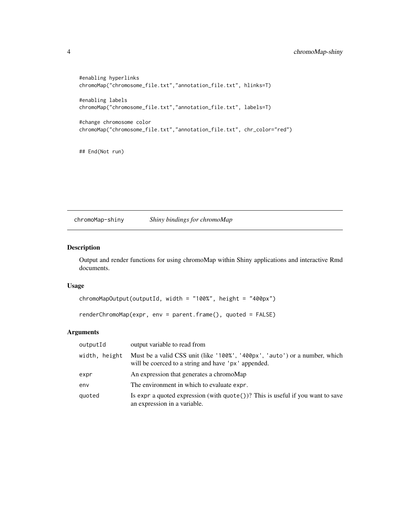```
#enabling hyperlinks
chromoMap("chromosome_file.txt","annotation_file.txt", hlinks=T)
#enabling labels
chromoMap("chromosome_file.txt","annotation_file.txt", labels=T)
#change chromosome color
chromoMap("chromosome_file.txt","annotation_file.txt", chr_color="red")
```
## End(Not run)

chromoMap-shiny *Shiny bindings for chromoMap*

#### Description

Output and render functions for using chromoMap within Shiny applications and interactive Rmd documents.

#### Usage

```
chromoMapOutput(outputId, width = "100%", height = "400px")
renderChromoMap(expr, env = parent.frame(), quoted = FALSE)
```
#### Arguments

| outputId      | output variable to read from                                                                                                      |
|---------------|-----------------------------------------------------------------------------------------------------------------------------------|
| width, height | Must be a valid CSS unit (like '100%', '400px', 'auto') or a number, which<br>will be coerced to a string and have 'px' appended. |
| expr          | An expression that generates a chromoMap                                                                                          |
| env           | The environment in which to evaluate expr.                                                                                        |
| quoted        | Is expr a quoted expression (with $\text{quote}()$ )? This is useful if you want to save<br>an expression in a variable.          |